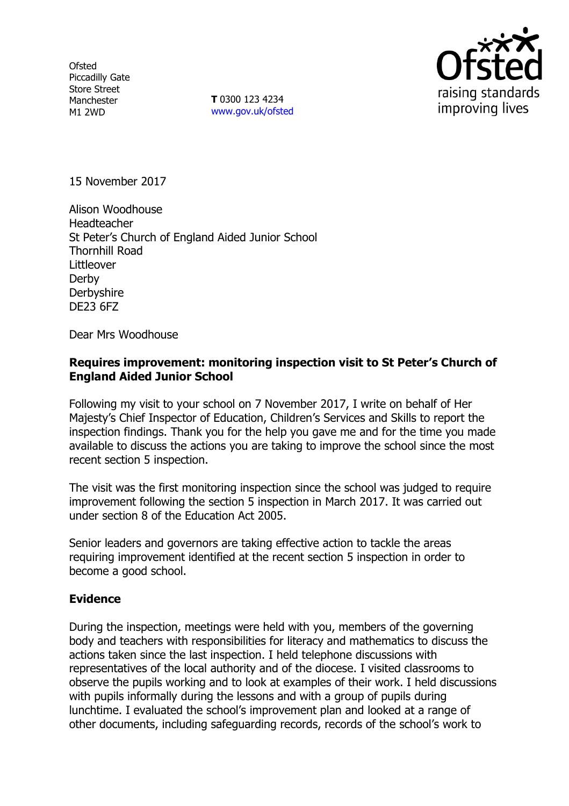**Ofsted** Piccadilly Gate Store Street Manchester M1 2WD

**T** 0300 123 4234 www.gov.uk/ofsted



15 November 2017

Alison Woodhouse Headteacher St Peter's Church of England Aided Junior School Thornhill Road Littleover Derby **Derbyshire** DE23 6FZ

Dear Mrs Woodhouse

### **Requires improvement: monitoring inspection visit to St Peter's Church of England Aided Junior School**

Following my visit to your school on 7 November 2017, I write on behalf of Her Majesty's Chief Inspector of Education, Children's Services and Skills to report the inspection findings. Thank you for the help you gave me and for the time you made available to discuss the actions you are taking to improve the school since the most recent section 5 inspection.

The visit was the first monitoring inspection since the school was judged to require improvement following the section 5 inspection in March 2017. It was carried out under section 8 of the Education Act 2005.

Senior leaders and governors are taking effective action to tackle the areas requiring improvement identified at the recent section 5 inspection in order to become a good school.

#### **Evidence**

During the inspection, meetings were held with you, members of the governing body and teachers with responsibilities for literacy and mathematics to discuss the actions taken since the last inspection. I held telephone discussions with representatives of the local authority and of the diocese. I visited classrooms to observe the pupils working and to look at examples of their work. I held discussions with pupils informally during the lessons and with a group of pupils during lunchtime. I evaluated the school's improvement plan and looked at a range of other documents, including safeguarding records, records of the school's work to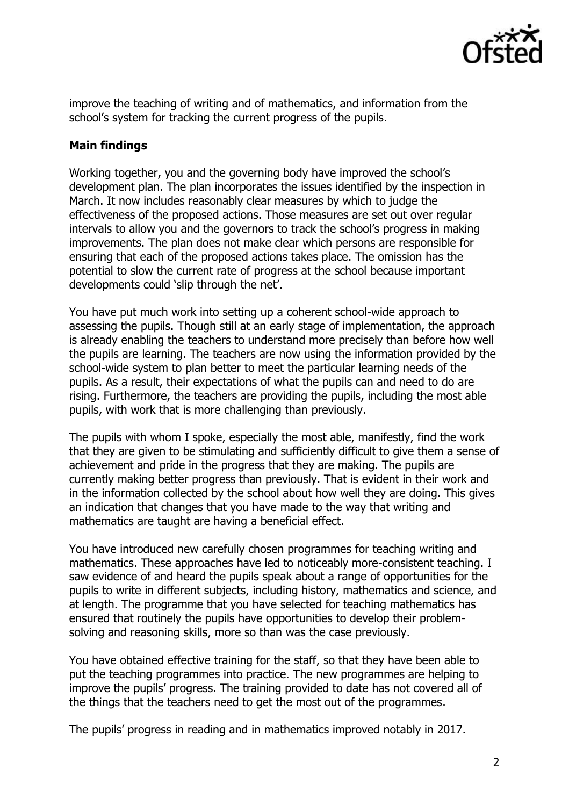

improve the teaching of writing and of mathematics, and information from the school's system for tracking the current progress of the pupils.

# **Main findings**

Working together, you and the governing body have improved the school's development plan. The plan incorporates the issues identified by the inspection in March. It now includes reasonably clear measures by which to judge the effectiveness of the proposed actions. Those measures are set out over regular intervals to allow you and the governors to track the school's progress in making improvements. The plan does not make clear which persons are responsible for ensuring that each of the proposed actions takes place. The omission has the potential to slow the current rate of progress at the school because important developments could 'slip through the net'.

You have put much work into setting up a coherent school-wide approach to assessing the pupils. Though still at an early stage of implementation, the approach is already enabling the teachers to understand more precisely than before how well the pupils are learning. The teachers are now using the information provided by the school-wide system to plan better to meet the particular learning needs of the pupils. As a result, their expectations of what the pupils can and need to do are rising. Furthermore, the teachers are providing the pupils, including the most able pupils, with work that is more challenging than previously.

The pupils with whom I spoke, especially the most able, manifestly, find the work that they are given to be stimulating and sufficiently difficult to give them a sense of achievement and pride in the progress that they are making. The pupils are currently making better progress than previously. That is evident in their work and in the information collected by the school about how well they are doing. This gives an indication that changes that you have made to the way that writing and mathematics are taught are having a beneficial effect.

You have introduced new carefully chosen programmes for teaching writing and mathematics. These approaches have led to noticeably more-consistent teaching. I saw evidence of and heard the pupils speak about a range of opportunities for the pupils to write in different subjects, including history, mathematics and science, and at length. The programme that you have selected for teaching mathematics has ensured that routinely the pupils have opportunities to develop their problemsolving and reasoning skills, more so than was the case previously.

You have obtained effective training for the staff, so that they have been able to put the teaching programmes into practice. The new programmes are helping to improve the pupils' progress. The training provided to date has not covered all of the things that the teachers need to get the most out of the programmes.

The pupils' progress in reading and in mathematics improved notably in 2017.